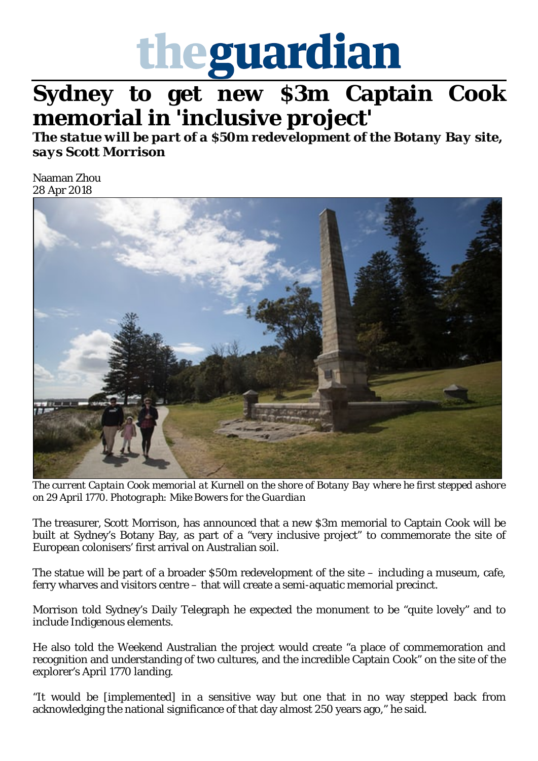

## **Sydney to get new \$3m Captain Cook memorial in 'inclusive project'**

*The statue will be part of a \$50m redevelopment of the Botany Bay site, says Scott Morrison*

Naaman Zhou 28 Apr 2018



*The current Captain Cook memorial at Kurnell on the shore of Botany Bay where he first stepped ashore on 29 April 1770. Photograph: Mike Bowers for the Guardian*

The treasurer, Scott Morrison, has announced that a new \$3m memorial to Captain Cook will be built at Sydney's Botany Bay, as part of a "very inclusive project" to commemorate the site of European colonisers' first arrival on Australian soil.

The statue will be part of a broader \$50m redevelopment of the site – including a museum, cafe, ferry wharves and visitors centre – that will create a semi-aquatic memorial precinct.

Morrison told Sydney's Daily Telegraph he expected the monument to be "quite lovely" and to include Indigenous elements.

He also told the Weekend Australian the project would create "a place of commemoration and recognition and understanding of two cultures, and the incredible Captain Cook" on the site of the explorer's April 1770 landing.

"It would be [implemented] in a sensitive way but one that in no way stepped back from acknowledging the national significance of that day almost 250 years ago," he said.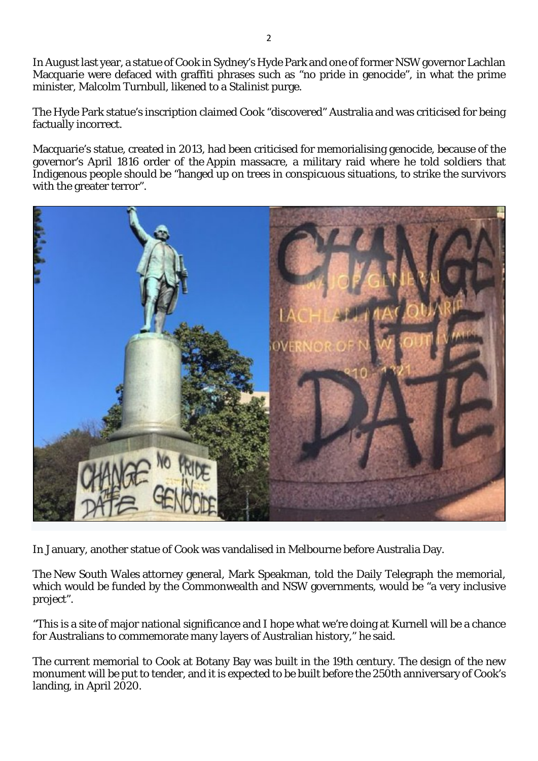In August last year, a statue of Cook in Sydney's Hyde Park and one of former NSW governor Lachlan Macquarie were defaced with graffiti phrases such as "no pride in genocide", in what the prime minister, Malcolm Turnbull, likened to a Stalinist purge.

The Hyde Park statue's inscription claimed Cook "discovered" Australia and was criticised for being factually incorrect.

Macquarie's statue, created in 2013, had been criticised for memorialising genocide, because of the governor's April 1816 order of the Appin massacre, a military raid where he told soldiers that Indigenous people should be "hanged up on trees in conspicuous situations, to strike the survivors with the greater terror".



In January, another statue of Cook was vandalised in Melbourne before Australia Day.

The New South Wales attorney general, Mark Speakman, told the Daily Telegraph the memorial, which would be funded by the Commonwealth and NSW governments, would be "a very inclusive project".

"This is a site of major national significance and I hope what we're doing at Kurnell will be a chance for Australians to commemorate many layers of Australian history," he said.

The current memorial to Cook at Botany Bay was built in the 19th century. The design of the new monument will be put to tender, and it is expected to be built before the 250th anniversary of Cook's landing, in April 2020.